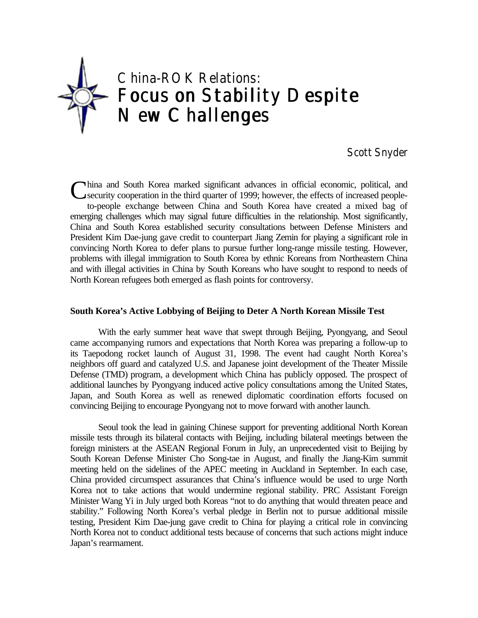

Scott Snyder

China and South Korea marked significant advances in official economic, political, and<br>
Security cooperation in the third quarter of 1999; however, the effects of increased peoplesecurity cooperation in the third quarter of 1999; however, the effects of increased peopleto-people exchange between China and South Korea have created a mixed bag of emerging challenges which may signal future difficulties in the relationship. Most significantly, China and South Korea established security consultations between Defense Ministers and President Kim Dae-jung gave credit to counterpart Jiang Zemin for playing a significant role in convincing North Korea to defer plans to pursue further long-range missile testing. However, problems with illegal immigration to South Korea by ethnic Koreans from Northeastern China and with illegal activities in China by South Koreans who have sought to respond to needs of North Korean refugees both emerged as flash points for controversy.

## **South Korea's Active Lobbying of Beijing to Deter A North Korean Missile Test**

With the early summer heat wave that swept through Beijing, Pyongyang, and Seoul came accompanying rumors and expectations that North Korea was preparing a follow-up to its Taepodong rocket launch of August 31, 1998. The event had caught North Korea's neighbors off guard and catalyzed U.S. and Japanese joint development of the Theater Missile Defense (TMD) program, a development which China has publicly opposed. The prospect of additional launches by Pyongyang induced active policy consultations among the United States, Japan, and South Korea as well as renewed diplomatic coordination efforts focused on convincing Beijing to encourage Pyongyang not to move forward with another launch.

Seoul took the lead in gaining Chinese support for preventing additional North Korean missile tests through its bilateral contacts with Beijing, including bilateral meetings between the foreign ministers at the ASEAN Regional Forum in July, an unprecedented visit to Beijing by South Korean Defense Minister Cho Song-tae in August, and finally the Jiang-Kim summit meeting held on the sidelines of the APEC meeting in Auckland in September. In each case, China provided circumspect assurances that China's influence would be used to urge North Korea not to take actions that would undermine regional stability. PRC Assistant Foreign Minister Wang Yi in July urged both Koreas "not to do anything that would threaten peace and stability." Following North Korea's verbal pledge in Berlin not to pursue additional missile testing, President Kim Dae-jung gave credit to China for playing a critical role in convincing North Korea not to conduct additional tests because of concerns that such actions might induce Japan's rearmament.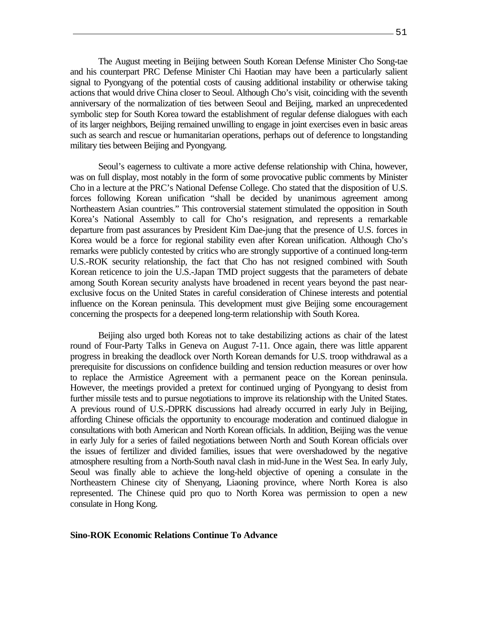The August meeting in Beijing between South Korean Defense Minister Cho Song-tae and his counterpart PRC Defense Minister Chi Haotian may have been a particularly salient signal to Pyongyang of the potential costs of causing additional instability or otherwise taking actions that would drive China closer to Seoul. Although Cho's visit, coinciding with the seventh anniversary of the normalization of ties between Seoul and Beijing, marked an unprecedented symbolic step for South Korea toward the establishment of regular defense dialogues with each of its larger neighbors, Beijing remained unwilling to engage in joint exercises even in basic areas such as search and rescue or humanitarian operations, perhaps out of deference to longstanding military ties between Beijing and Pyongyang.

Seoul's eagerness to cultivate a more active defense relationship with China, however, was on full display, most notably in the form of some provocative public comments by Minister Cho in a lecture at the PRC's National Defense College. Cho stated that the disposition of U.S. forces following Korean unification "shall be decided by unanimous agreement among Northeastern Asian countries." This controversial statement stimulated the opposition in South Korea's National Assembly to call for Cho's resignation, and represents a remarkable departure from past assurances by President Kim Dae-jung that the presence of U.S. forces in Korea would be a force for regional stability even after Korean unification. Although Cho's remarks were publicly contested by critics who are strongly supportive of a continued long-term U.S.-ROK security relationship, the fact that Cho has not resigned combined with South Korean reticence to join the U.S.-Japan TMD project suggests that the parameters of debate among South Korean security analysts have broadened in recent years beyond the past nearexclusive focus on the United States in careful consideration of Chinese interests and potential influence on the Korean peninsula. This development must give Beijing some encouragement concerning the prospects for a deepened long-term relationship with South Korea.

Beijing also urged both Koreas not to take destabilizing actions as chair of the latest round of Four-Party Talks in Geneva on August 7-11. Once again, there was little apparent progress in breaking the deadlock over North Korean demands for U.S. troop withdrawal as a prerequisite for discussions on confidence building and tension reduction measures or over how to replace the Armistice Agreement with a permanent peace on the Korean peninsula. However, the meetings provided a pretext for continued urging of Pyongyang to desist from further missile tests and to pursue negotiations to improve its relationship with the United States. A previous round of U.S.-DPRK discussions had already occurred in early July in Beijing, affording Chinese officials the opportunity to encourage moderation and continued dialogue in consultations with both American and North Korean officials. In addition, Beijing was the venue in early July for a series of failed negotiations between North and South Korean officials over the issues of fertilizer and divided families, issues that were overshadowed by the negative atmosphere resulting from a North-South naval clash in mid-June in the West Sea. In early July, Seoul was finally able to achieve the long-held objective of opening a consulate in the Northeastern Chinese city of Shenyang, Liaoning province, where North Korea is also represented. The Chinese quid pro quo to North Korea was permission to open a new consulate in Hong Kong.

### **Sino-ROK Economic Relations Continue To Advance**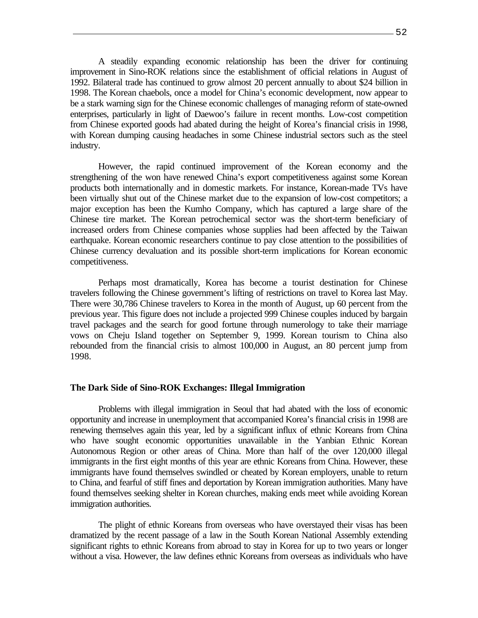A steadily expanding economic relationship has been the driver for continuing improvement in Sino-ROK relations since the establishment of official relations in August of 1992. Bilateral trade has continued to grow almost 20 percent annually to about \$24 billion in 1998. The Korean chaebols, once a model for China's economic development, now appear to be a stark warning sign for the Chinese economic challenges of managing reform of state-owned enterprises, particularly in light of Daewoo's failure in recent months. Low-cost competition from Chinese exported goods had abated during the height of Korea's financial crisis in 1998, with Korean dumping causing headaches in some Chinese industrial sectors such as the steel industry.

However, the rapid continued improvement of the Korean economy and the strengthening of the won have renewed China's export competitiveness against some Korean products both internationally and in domestic markets. For instance, Korean-made TVs have been virtually shut out of the Chinese market due to the expansion of low-cost competitors; a major exception has been the Kumho Company, which has captured a large share of the Chinese tire market. The Korean petrochemical sector was the short-term beneficiary of increased orders from Chinese companies whose supplies had been affected by the Taiwan earthquake. Korean economic researchers continue to pay close attention to the possibilities of Chinese currency devaluation and its possible short-term implications for Korean economic competitiveness.

Perhaps most dramatically, Korea has become a tourist destination for Chinese travelers following the Chinese government's lifting of restrictions on travel to Korea last May. There were 30,786 Chinese travelers to Korea in the month of August, up 60 percent from the previous year. This figure does not include a projected 999 Chinese couples induced by bargain travel packages and the search for good fortune through numerology to take their marriage vows on Cheju Island together on September 9, 1999. Korean tourism to China also rebounded from the financial crisis to almost 100,000 in August, an 80 percent jump from 1998.

### **The Dark Side of Sino-ROK Exchanges: Illegal Immigration**

Problems with illegal immigration in Seoul that had abated with the loss of economic opportunity and increase in unemployment that accompanied Korea's financial crisis in 1998 are renewing themselves again this year, led by a significant influx of ethnic Koreans from China who have sought economic opportunities unavailable in the Yanbian Ethnic Korean Autonomous Region or other areas of China. More than half of the over 120,000 illegal immigrants in the first eight months of this year are ethnic Koreans from China. However, these immigrants have found themselves swindled or cheated by Korean employers, unable to return to China, and fearful of stiff fines and deportation by Korean immigration authorities. Many have found themselves seeking shelter in Korean churches, making ends meet while avoiding Korean immigration authorities.

The plight of ethnic Koreans from overseas who have overstayed their visas has been dramatized by the recent passage of a law in the South Korean National Assembly extending significant rights to ethnic Koreans from abroad to stay in Korea for up to two years or longer without a visa. However, the law defines ethnic Koreans from overseas as individuals who have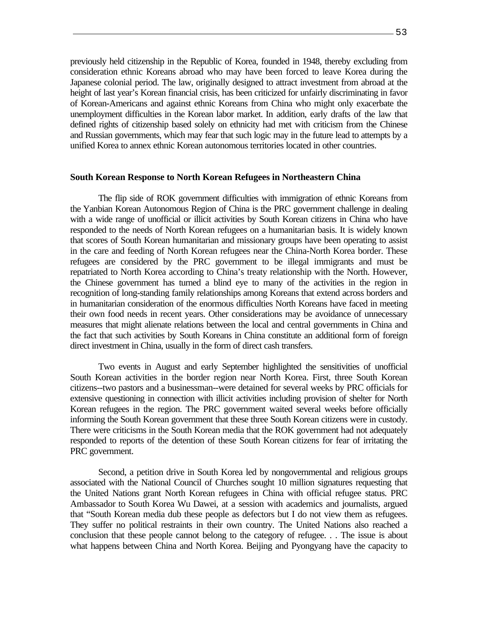previously held citizenship in the Republic of Korea, founded in 1948, thereby excluding from consideration ethnic Koreans abroad who may have been forced to leave Korea during the Japanese colonial period. The law, originally designed to attract investment from abroad at the height of last year's Korean financial crisis, has been criticized for unfairly discriminating in favor of Korean-Americans and against ethnic Koreans from China who might only exacerbate the unemployment difficulties in the Korean labor market. In addition, early drafts of the law that defined rights of citizenship based solely on ethnicity had met with criticism from the Chinese and Russian governments, which may fear that such logic may in the future lead to attempts by a unified Korea to annex ethnic Korean autonomous territories located in other countries.

### **South Korean Response to North Korean Refugees in Northeastern China**

The flip side of ROK government difficulties with immigration of ethnic Koreans from the Yanbian Korean Autonomous Region of China is the PRC government challenge in dealing with a wide range of unofficial or illicit activities by South Korean citizens in China who have responded to the needs of North Korean refugees on a humanitarian basis. It is widely known that scores of South Korean humanitarian and missionary groups have been operating to assist in the care and feeding of North Korean refugees near the China-North Korea border. These refugees are considered by the PRC government to be illegal immigrants and must be repatriated to North Korea according to China's treaty relationship with the North. However, the Chinese government has turned a blind eye to many of the activities in the region in recognition of long-standing family relationships among Koreans that extend across borders and in humanitarian consideration of the enormous difficulties North Koreans have faced in meeting their own food needs in recent years. Other considerations may be avoidance of unnecessary measures that might alienate relations between the local and central governments in China and the fact that such activities by South Koreans in China constitute an additional form of foreign direct investment in China, usually in the form of direct cash transfers.

Two events in August and early September highlighted the sensitivities of unofficial South Korean activities in the border region near North Korea. First, three South Korean citizens--two pastors and a businessman--were detained for several weeks by PRC officials for extensive questioning in connection with illicit activities including provision of shelter for North Korean refugees in the region. The PRC government waited several weeks before officially informing the South Korean government that these three South Korean citizens were in custody. There were criticisms in the South Korean media that the ROK government had not adequately responded to reports of the detention of these South Korean citizens for fear of irritating the PRC government.

Second, a petition drive in South Korea led by nongovernmental and religious groups associated with the National Council of Churches sought 10 million signatures requesting that the United Nations grant North Korean refugees in China with official refugee status. PRC Ambassador to South Korea Wu Dawei, at a session with academics and journalists, argued that "South Korean media dub these people as defectors but I do not view them as refugees. They suffer no political restraints in their own country. The United Nations also reached a conclusion that these people cannot belong to the category of refugee. . . The issue is about what happens between China and North Korea. Beijing and Pyongyang have the capacity to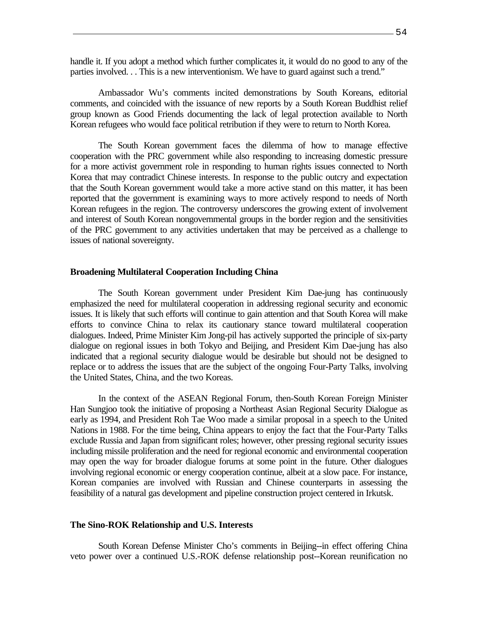handle it. If you adopt a method which further complicates it, it would do no good to any of the parties involved. . . This is a new interventionism. We have to guard against such a trend."

Ambassador Wu's comments incited demonstrations by South Koreans, editorial comments, and coincided with the issuance of new reports by a South Korean Buddhist relief group known as Good Friends documenting the lack of legal protection available to North Korean refugees who would face political retribution if they were to return to North Korea.

The South Korean government faces the dilemma of how to manage effective cooperation with the PRC government while also responding to increasing domestic pressure for a more activist government role in responding to human rights issues connected to North Korea that may contradict Chinese interests. In response to the public outcry and expectation that the South Korean government would take a more active stand on this matter, it has been reported that the government is examining ways to more actively respond to needs of North Korean refugees in the region. The controversy underscores the growing extent of involvement and interest of South Korean nongovernmental groups in the border region and the sensitivities of the PRC government to any activities undertaken that may be perceived as a challenge to issues of national sovereignty.

#### **Broadening Multilateral Cooperation Including China**

The South Korean government under President Kim Dae-jung has continuously emphasized the need for multilateral cooperation in addressing regional security and economic issues. It is likely that such efforts will continue to gain attention and that South Korea will make efforts to convince China to relax its cautionary stance toward multilateral cooperation dialogues. Indeed, Prime Minister Kim Jong-pil has actively supported the principle of six-party dialogue on regional issues in both Tokyo and Beijing, and President Kim Dae-jung has also indicated that a regional security dialogue would be desirable but should not be designed to replace or to address the issues that are the subject of the ongoing Four-Party Talks, involving the United States, China, and the two Koreas.

In the context of the ASEAN Regional Forum, then-South Korean Foreign Minister Han Sungjoo took the initiative of proposing a Northeast Asian Regional Security Dialogue as early as 1994, and President Roh Tae Woo made a similar proposal in a speech to the United Nations in 1988. For the time being, China appears to enjoy the fact that the Four-Party Talks exclude Russia and Japan from significant roles; however, other pressing regional security issues including missile proliferation and the need for regional economic and environmental cooperation may open the way for broader dialogue forums at some point in the future. Other dialogues involving regional economic or energy cooperation continue, albeit at a slow pace. For instance, Korean companies are involved with Russian and Chinese counterparts in assessing the feasibility of a natural gas development and pipeline construction project centered in Irkutsk.

#### **The Sino-ROK Relationship and U.S. Interests**

South Korean Defense Minister Cho's comments in Beijing--in effect offering China veto power over a continued U.S.-ROK defense relationship post--Korean reunification no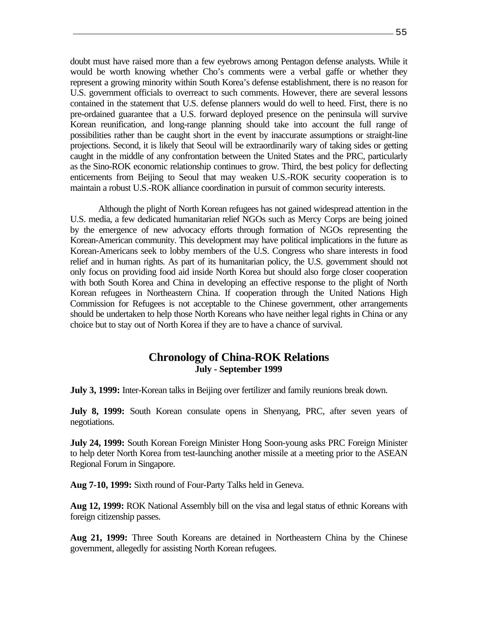doubt must have raised more than a few eyebrows among Pentagon defense analysts. While it would be worth knowing whether Cho's comments were a verbal gaffe or whether they represent a growing minority within South Korea's defense establishment, there is no reason for U.S. government officials to overreact to such comments. However, there are several lessons contained in the statement that U.S. defense planners would do well to heed. First, there is no pre-ordained guarantee that a U.S. forward deployed presence on the peninsula will survive Korean reunification, and long-range planning should take into account the full range of possibilities rather than be caught short in the event by inaccurate assumptions or straight-line projections. Second, it is likely that Seoul will be extraordinarily wary of taking sides or getting caught in the middle of any confrontation between the United States and the PRC, particularly as the Sino-ROK economic relationship continues to grow. Third, the best policy for deflecting enticements from Beijing to Seoul that may weaken U.S.-ROK security cooperation is to maintain a robust U.S.-ROK alliance coordination in pursuit of common security interests.

Although the plight of North Korean refugees has not gained widespread attention in the U.S. media, a few dedicated humanitarian relief NGOs such as Mercy Corps are being joined by the emergence of new advocacy efforts through formation of NGOs representing the Korean-American community. This development may have political implications in the future as Korean-Americans seek to lobby members of the U.S. Congress who share interests in food relief and in human rights. As part of its humanitarian policy, the U.S. government should not only focus on providing food aid inside North Korea but should also forge closer cooperation with both South Korea and China in developing an effective response to the plight of North Korean refugees in Northeastern China. If cooperation through the United Nations High Commission for Refugees is not acceptable to the Chinese government, other arrangements should be undertaken to help those North Koreans who have neither legal rights in China or any choice but to stay out of North Korea if they are to have a chance of survival.

# **Chronology of China-ROK Relations July - September 1999**

**July 3, 1999:** Inter-Korean talks in Beijing over fertilizer and family reunions break down.

**July 8, 1999:** South Korean consulate opens in Shenyang, PRC, after seven years of negotiations.

**July 24, 1999:** South Korean Foreign Minister Hong Soon-young asks PRC Foreign Minister to help deter North Korea from test-launching another missile at a meeting prior to the ASEAN Regional Forum in Singapore.

**Aug 7-10, 1999:** Sixth round of Four-Party Talks held in Geneva.

**Aug 12, 1999:** ROK National Assembly bill on the visa and legal status of ethnic Koreans with foreign citizenship passes.

**Aug 21, 1999:** Three South Koreans are detained in Northeastern China by the Chinese government, allegedly for assisting North Korean refugees.